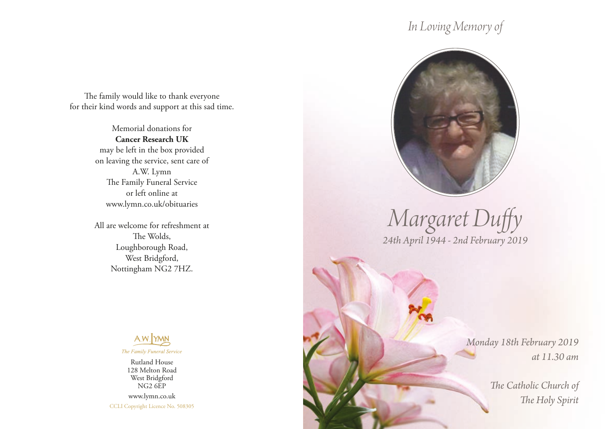## *In Loving Memory of*

The family would like to thank everyone for their kind words and support at this sad time.

> Memorial donations for **Cancer Research UK** may be left in the box provided on leaving the service, sent care of A.W. Lymn The Family Funeral Service or left online at www.lymn.co.uk/obituaries

> All are welcome for refreshment at The Wolds, Loughborough Road, West Bridgford, Nottingham NG2 7HZ.



Rutland House 128 Melton Road West Bridgford NG2 6EP www.lymn.co.uk CCLI Copyright Licence No. 508305



*Margaret Duffy 24th April 1944 - 2nd February 2019*

> *Monday 18th February 2019 at 11.30 am*

> > *The Catholic Church of The Holy Spirit*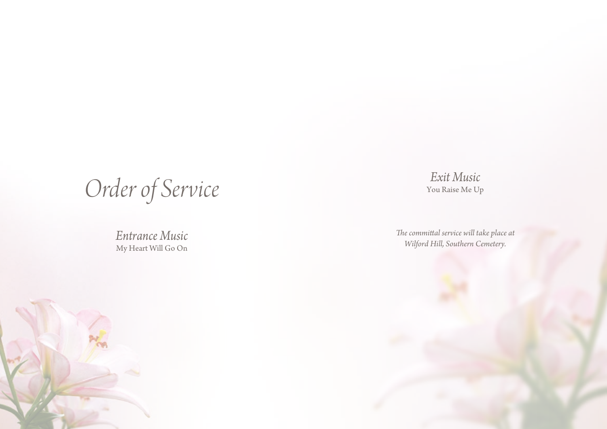*Order of Service*

*Entrance Music* My Heart Will Go On

*Exit Music* You Raise Me Up

*The committal service will take place at Wilford Hill, Southern Cemetery.*

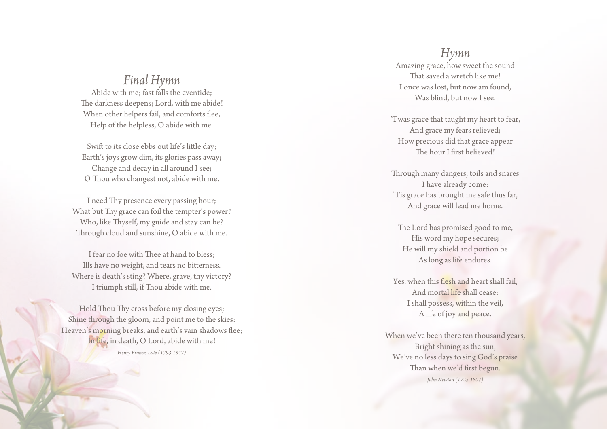## *Final Hymn*

Abide with me; fast falls the eventide; The darkness deepens; Lord, with me abide! When other helpers fail, and comforts flee, Help of the helpless, O abide with me.

Swift to its close ebbs out life's little day; Earth's joys grow dim, its glories pass away; Change and decay in all around I see; O Thou who changest not, abide with me.

I need Thy presence every passing hour; What but Thy grace can foil the tempter's power? Who, like Thyself, my guide and stay can be? Through cloud and sunshine, O abide with me.

I fear no foe with Thee at hand to bless; Ills have no weight, and tears no bitterness. Where is death's sting? Where, grave, thy victory? I triumph still, if Thou abide with me.

Hold Thou Thy cross before my closing eyes; Shine through the gloom, and point me to the skies: Heaven's morning breaks, and earth's vain shadows flee; In life, in death, O Lord, abide with me! *Henry Francis Lyte (1793-1847)*

*Hymn* Amazing grace, how sweet the sound That saved a wretch like me! I once was lost, but now am found, Was blind, but now I see.

'Twas grace that taught my heart to fear, And grace my fears relieved; How precious did that grace appear The hour I first believed!

Through many dangers, toils and snares I have already come: 'Tis grace has brought me safe thus far, And grace will lead me home.

The Lord has promised good to me, His word my hope secures; He will my shield and portion be As long as life endures.

Yes, when this flesh and heart shall fail, And mortal life shall cease: I shall possess, within the veil, A life of joy and peace.

When we've been there ten thousand years, Bright shining as the sun, We've no less days to sing God's praise Than when we'd first begun. *John Newton (1725-1807)*